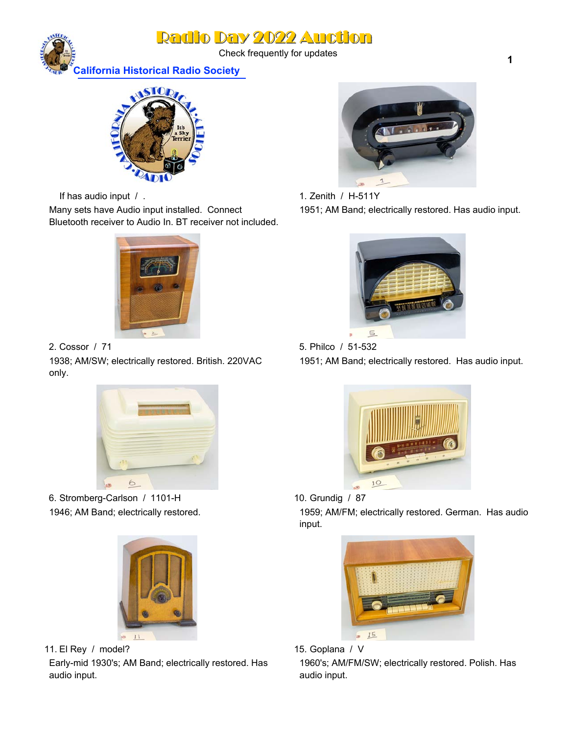Check frequently for updates



**California Historical Radio Society**



If has audio input / .

Many sets have Audio input installed. Connect Bluetooth receiver to Audio In. BT receiver not included.



2. Cossor / 71

1938; AM/SW; electrically restored. British. 220VAC only.



6. Stromberg-Carlson / 1101-H 1946; AM Band; electrically restored.



11. El Rey / model?

Early-mid 1930's; AM Band; electrically restored. Has audio input.



1. Zenith / H-511Y 1951; AM Band; electrically restored. Has audio input.



5. Philco / 51-532 1951; AM Band; electrically restored. Has audio input.



10. Grundig / 87

1959; AM/FM; electrically restored. German. Has audio input.





1960's; AM/FM/SW; electrically restored. Polish. Has audio input.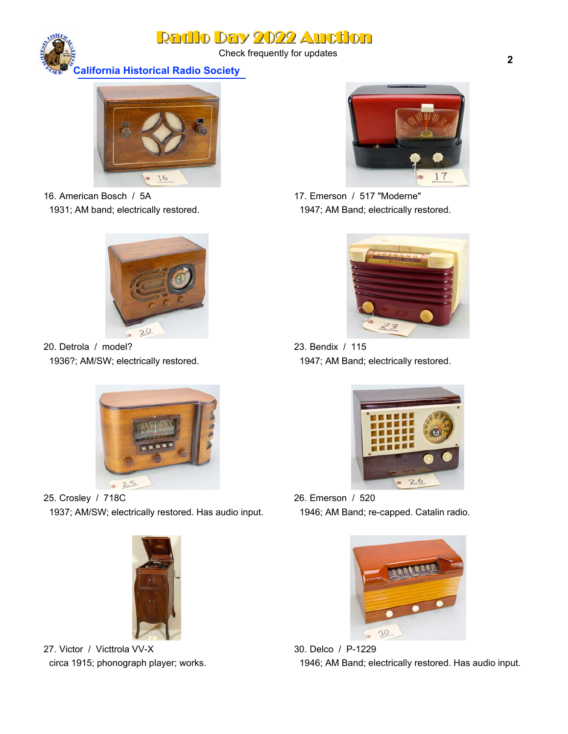Check frequently for updates

**California Historical Radio Society**



16. American Bosch / 5A 1931; AM band; electrically restored.



20. Detrola / model? 1936?; AM/SW; electrically restored.



25. Crosley / 718C 1937; AM/SW; electrically restored. Has audio input.



27. Victor / Victtrola VV-X circa 1915; phonograph player; works.



17. Emerson / 517 "Moderne" 1947; AM Band; electrically restored.



23. Bendix / 115 1947; AM Band; electrically restored.



26. Emerson / 520 1946; AM Band; re-capped. Catalin radio.



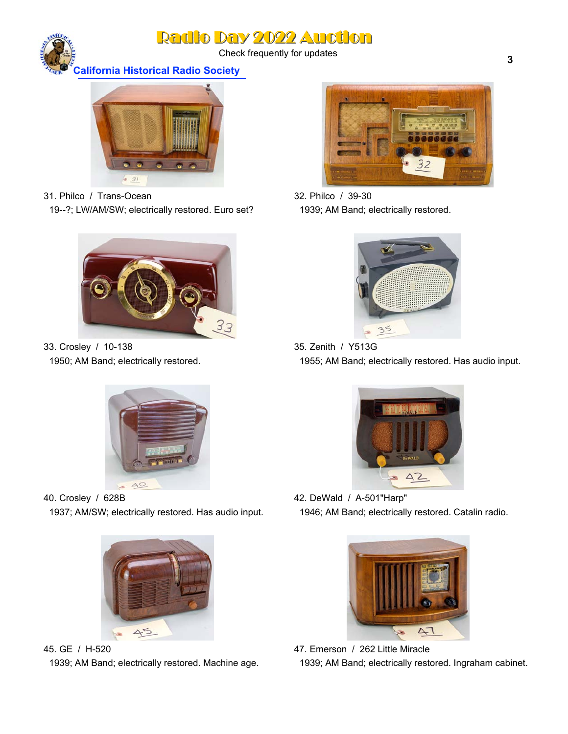Check frequently for updates

**California Historical Radio Society**



31. Philco / Trans-Ocean 19--?; LW/AM/SW; electrically restored. Euro set?



33. Crosley / 10-138 1950; AM Band; electrically restored.



40. Crosley / 628B 1937; AM/SW; electrically restored. Has audio input.



45. GE / H-520 1939; AM Band; electrically restored. Machine age.



32. Philco / 39-30 1939; AM Band; electrically restored.



35. Zenith / Y513G 1955; AM Band; electrically restored. Has audio input.



42. DeWald / A-501"Harp" 1946; AM Band; electrically restored. Catalin radio.



47. Emerson / 262 Little Miracle 1939; AM Band; electrically restored. Ingraham cabinet.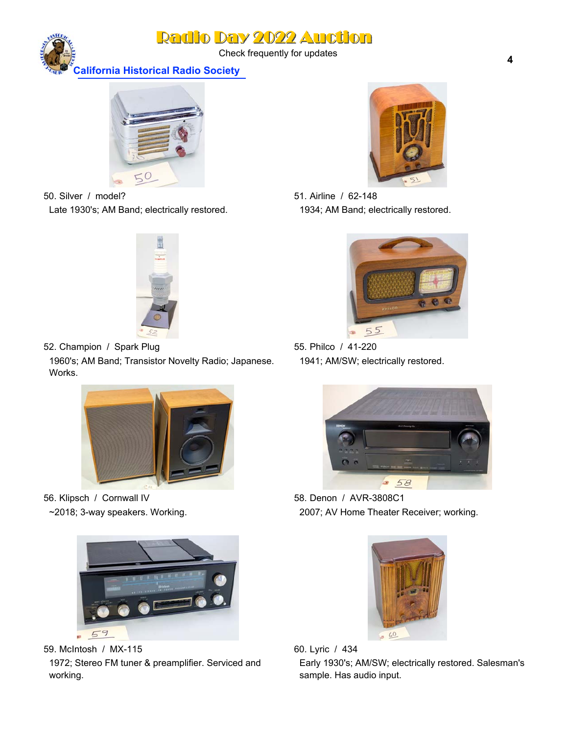Check frequently for updates

**California Historical Radio Society**



50. Silver / model? Late 1930's; AM Band; electrically restored.



52. Champion / Spark Plug 1960's; AM Band; Transistor Novelty Radio; Japanese. Works.



56. Klipsch / Cornwall IV ~2018; 3-way speakers. Working.



59. McIntosh / MX-115 1972; Stereo FM tuner & preamplifier. Serviced and working.



51. Airline / 62-148 1934; AM Band; electrically restored.



55. Philco / 41-220 1941; AM/SW; electrically restored.



58. Denon / AVR-3808C1 2007; AV Home Theater Receiver; working.



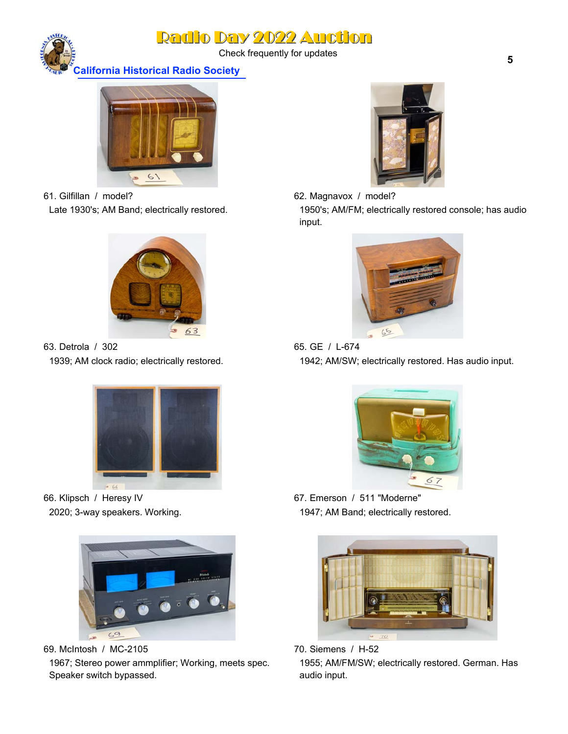Check frequently for updates

**California Historical Radio Society**



61. Gilfillan / model? Late 1930's; AM Band; electrically restored.



63. Detrola / 302 1939; AM clock radio; electrically restored.



66. Klipsch / Heresy IV 2020; 3-way speakers. Working.



69. McIntosh / MC-2105 1967; Stereo power ammplifier; Working, meets spec. Speaker switch bypassed.



- 62. Magnavox / model? 1950's; AM/FM; electrically restored console; has audio
- input.



65. GE / L-674 1942; AM/SW; electrically restored. Has audio input.



67. Emerson / 511 "Moderne" 1947; AM Band; electrically restored.



70. Siemens / H-52 1955; AM/FM/SW; electrically restored. German. Has audio input.